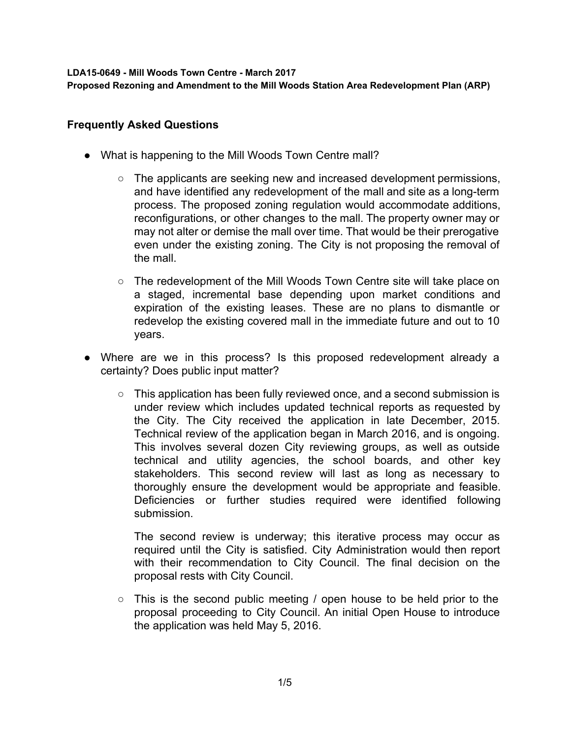**LDA15-0649 - Mill Woods Town Centre - March 2017**

**Proposed Rezoning and Amendment to the Mill Woods Station Area Redevelopment Plan (ARP)**

## **Frequently Asked Questions**

- What is happening to the Mill Woods Town Centre mall?
	- $\circ$  The applicants are seeking new and increased development permissions, and have identified any redevelopment of the mall and site as a long-term process. The proposed zoning regulation would accommodate additions, reconfigurations, or other changes to the mall. The property owner may or may not alter or demise the mall over time. That would be their prerogative even under the existing zoning. The City is not proposing the removal of the mall.
	- The redevelopment of the Mill Woods Town Centre site will take place on a staged, incremental base depending upon market conditions and expiration of the existing leases. These are no plans to dismantle or redevelop the existing covered mall in the immediate future and out to 10 years.
- Where are we in this process? Is this proposed redevelopment already a certainty? Does public input matter?
	- This application has been fully reviewed once, and a second submission is under review which includes updated technical reports as requested by the City. The City received the application in late December, 2015. Technical review of the application began in March 2016, and is ongoing. This involves several dozen City reviewing groups, as well as outside technical and utility agencies, the school boards, and other key stakeholders. This second review will last as long as necessary to thoroughly ensure the development would be appropriate and feasible. Deficiencies or further studies required were identified following submission.

The second review is underway; this iterative process may occur as required until the City is satisfied. City Administration would then report with their recommendation to City Council. The final decision on the proposal rests with City Council.

 $\circ$  This is the second public meeting / open house to be held prior to the proposal proceeding to City Council. An initial Open House to introduce the application was held May 5, 2016.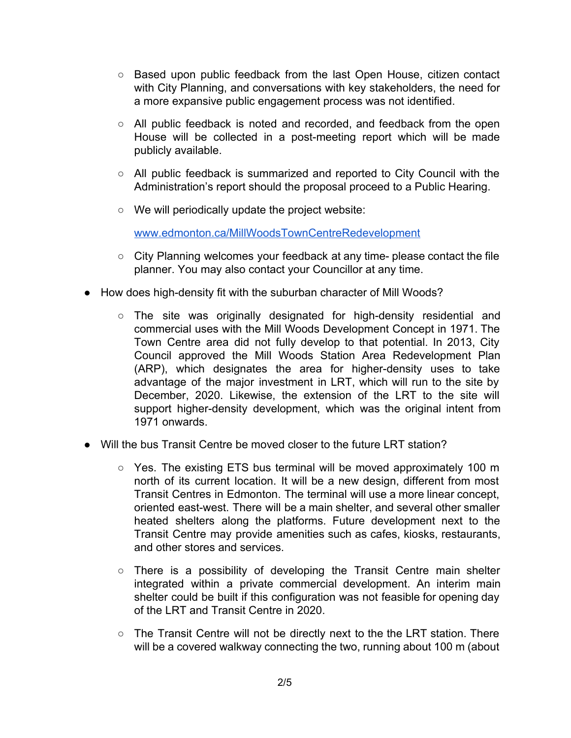- Based upon public feedback from the last Open House, citizen contact with City Planning, and conversations with key stakeholders, the need for a more expansive public engagement process was not identified.
- All public feedback is noted and recorded, and feedback from the open House will be collected in a post-meeting report which will be made publicly available.
- All public feedback is summarized and reported to City Council with the Administration's report should the proposal proceed to a Public Hearing.
- We will periodically update the project website:

[www.edmonton.ca/MillWoodsTownCentreRedevelopment](http://www.edmonton.ca/MillWoodsTownCentreRedevelopment)

- City Planning welcomes your feedback at any time- please contact the file planner. You may also contact your Councillor at any time.
- How does high-density fit with the suburban character of Mill Woods?
	- The site was originally designated for high-density residential and commercial uses with the Mill Woods Development Concept in 1971. The Town Centre area did not fully develop to that potential. In 2013, City Council approved the Mill Woods Station Area Redevelopment Plan (ARP), which designates the area for higher-density uses to take advantage of the major investment in LRT, which will run to the site by December, 2020. Likewise, the extension of the LRT to the site will support higher-density development, which was the original intent from 1971 onwards.
- Will the bus Transit Centre be moved closer to the future LRT station?
	- Yes. The existing ETS bus terminal will be moved approximately 100 m north of its current location. It will be a new design, different from most Transit Centres in Edmonton. The terminal will use a more linear concept, oriented east-west. There will be a main shelter, and several other smaller heated shelters along the platforms. Future development next to the Transit Centre may provide amenities such as cafes, kiosks, restaurants, and other stores and services.
	- There is a possibility of developing the Transit Centre main shelter integrated within a private commercial development. An interim main shelter could be built if this configuration was not feasible for opening day of the LRT and Transit Centre in 2020.
	- $\circ$  The Transit Centre will not be directly next to the the LRT station. There will be a covered walkway connecting the two, running about 100 m (about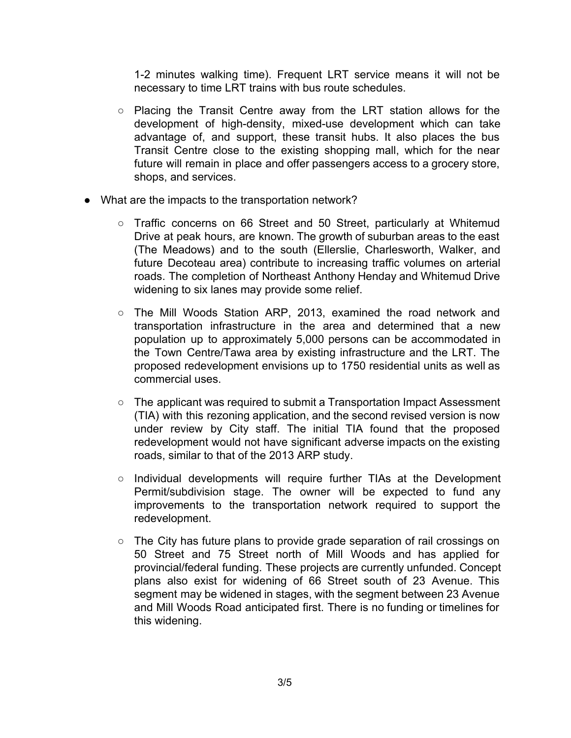1-2 minutes walking time). Frequent LRT service means it will not be necessary to time LRT trains with bus route schedules.

- Placing the Transit Centre away from the LRT station allows for the development of high-density, mixed-use development which can take advantage of, and support, these transit hubs. It also places the bus Transit Centre close to the existing shopping mall, which for the near future will remain in place and offer passengers access to a grocery store, shops, and services.
- What are the impacts to the transportation network?
	- Traffic concerns on 66 Street and 50 Street, particularly at Whitemud Drive at peak hours, are known. The growth of suburban areas to the east (The Meadows) and to the south (Ellerslie, Charlesworth, Walker, and future Decoteau area) contribute to increasing traffic volumes on arterial roads. The completion of Northeast Anthony Henday and Whitemud Drive widening to six lanes may provide some relief.
	- The Mill Woods Station ARP, 2013, examined the road network and transportation infrastructure in the area and determined that a new population up to approximately 5,000 persons can be accommodated in the Town Centre/Tawa area by existing infrastructure and the LRT. The proposed redevelopment envisions up to 1750 residential units as well as commercial uses.
	- The applicant was required to submit a Transportation Impact Assessment (TIA) with this rezoning application, and the second revised version is now under review by City staff. The initial TIA found that the proposed redevelopment would not have significant adverse impacts on the existing roads, similar to that of the 2013 ARP study.
	- Individual developments will require further TIAs at the Development Permit/subdivision stage. The owner will be expected to fund any improvements to the transportation network required to support the redevelopment.
	- The City has future plans to provide grade separation of rail crossings on 50 Street and 75 Street north of Mill Woods and has applied for provincial/federal funding. These projects are currently unfunded. Concept plans also exist for widening of 66 Street south of 23 Avenue. This segment may be widened in stages, with the segment between 23 Avenue and Mill Woods Road anticipated first. There is no funding or timelines for this widening.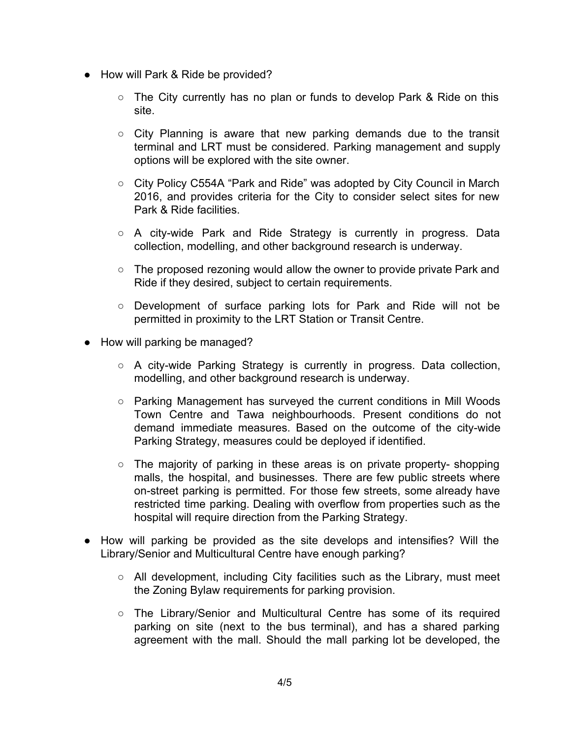- How will Park & Ride be provided?
	- The City currently has no plan or funds to develop Park & Ride on this site.
	- City Planning is aware that new parking demands due to the transit terminal and LRT must be considered. Parking management and supply options will be explored with the site owner.
	- City Policy C554A "Park and Ride" was adopted by City Council in March 2016, and provides criteria for the City to consider select sites for new Park & Ride facilities.
	- $\circ$  A city-wide Park and Ride Strategy is currently in progress. Data collection, modelling, and other background research is underway.
	- $\circ$  The proposed rezoning would allow the owner to provide private Park and Ride if they desired, subject to certain requirements.
	- Development of surface parking lots for Park and Ride will not be permitted in proximity to the LRT Station or Transit Centre.
- How will parking be managed?
	- $\circ$  A city-wide Parking Strategy is currently in progress. Data collection, modelling, and other background research is underway.
	- $\circ$  Parking Management has surveyed the current conditions in Mill Woods Town Centre and Tawa neighbourhoods. Present conditions do not demand immediate measures. Based on the outcome of the city-wide Parking Strategy, measures could be deployed if identified.
	- $\circ$  The majority of parking in these areas is on private property- shopping malls, the hospital, and businesses. There are few public streets where on-street parking is permitted. For those few streets, some already have restricted time parking. Dealing with overflow from properties such as the hospital will require direction from the Parking Strategy.
- How will parking be provided as the site develops and intensifies? Will the Library/Senior and Multicultural Centre have enough parking?
	- $\circ$  All development, including City facilities such as the Library, must meet the Zoning Bylaw requirements for parking provision.
	- The Library/Senior and Multicultural Centre has some of its required parking on site (next to the bus terminal), and has a shared parking agreement with the mall. Should the mall parking lot be developed, the